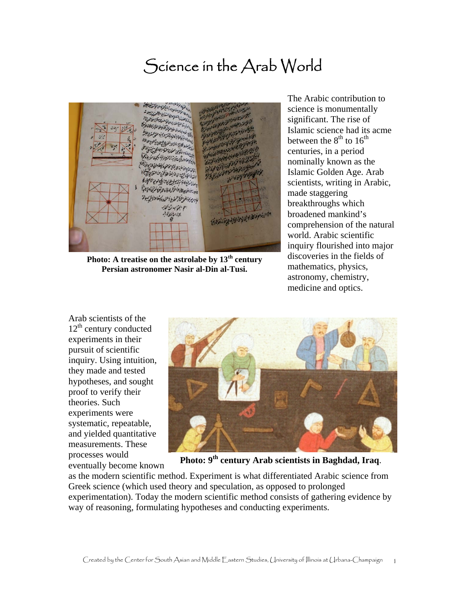## Science in the Arab World

: عَارْ الْأَجْرُمُوسُو نام زان اولم الولائين من التما رائع كان توفيع لترفين الأولاني لودية بيئ وناخفه النا العقدما بالنساه وسأحا ه فاطم يسولنس ع ابتياب *نزاكتا*ب منادرز موضوعا والمحادثة المالي والمحادثة بون المنقص كوبار

**Photo: A treatise on the astrolabe by 13th century Persian astronomer Nasir al-Din al-Tusi.** 

The Arabic contribution to science is monumentally significant. The rise of Islamic science had its acme between the  $8^{th}$  to  $16^{th}$ centuries, in a period nominally known as the Islamic Golden Age. Arab scientists, writing in Arabic, made staggering breakthroughs which broadened mankind's comprehension of the natural world. Arabic scientific inquiry flourished into major discoveries in the fields of mathematics, physics, astronomy, chemistry, medicine and optics.

Arab scientists of the  $12<sup>th</sup>$  century conducted experiments in their pursuit of scientific inquiry. Using intuition, they made and tested hypotheses, and sought proof to verify their theories. Such experiments were systematic, repeatable, and yielded quantitative measurements. These processes would eventually become known



**Photo: 9th century Arab scientists in Baghdad, Iraq**.

as the modern scientific method. Experiment is what differentiated Arabic science from Greek science (which used theory and speculation, as opposed to prolonged experimentation). Today the modern scientific method consists of gathering evidence by way of reasoning, formulating hypotheses and conducting experiments.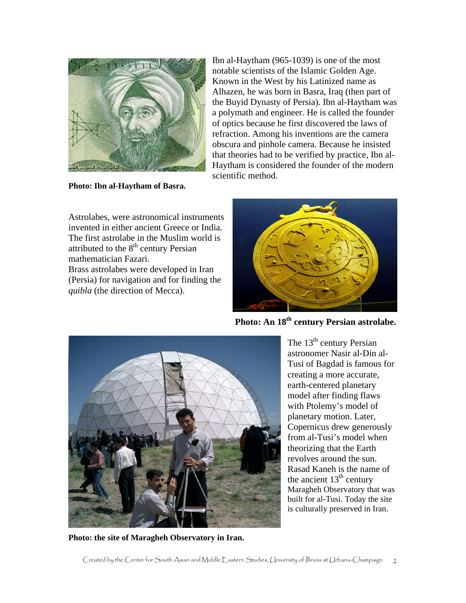

**Photo: Ibn al-Haytham of Basra.** 

Ibn al-Haytham (965-1039) is one of the most notable scientists of the Islamic Golden Age. Known in the West by his Latinized name as Alhazen, he was born in Basra, Iraq (then part of the Buyid Dynasty of Persia). Ibn al-Haytham was a polymath and engineer. He is called the founder of optics because he first discovered the laws of refraction. Among his inventions are the camera obscura and pinhole camera. Because he insisted that theories had to be verified by practice, Ibn al-Haytham is considered the founder of the modern scientific method.

Astrolabes, were astronomical instruments invented in either ancient Greece or India. The first astrolabe in the Muslim world is attributed to the  $8<sup>th</sup>$  century Persian mathematician Fazari.

Brass astrolabes were developed in Iran (Persia) for navigation and for finding the *quibla* (the direction of Mecca).



Photo: An 18<sup>th</sup> century Persian astrolabe.

The  $13<sup>th</sup>$  century Persian astronomer Nasir al-Din al-Tusi of Bagdad is famous for creating a more accurate, earth-centered planetary model after finding flaws



with Ptolemy's model of planetary motion. Later, Copernicus drew generously from al-Tusi's model when theorizing that the Earth revolves around the sun. Rasad Kaneh is the name of the ancient  $13<sup>th</sup>$  century Maragheh Observatory that was built for al-Tusi. Today the site is culturally preserved in Iran.

**Photo: the site of Maragheh Observatory in Iran.**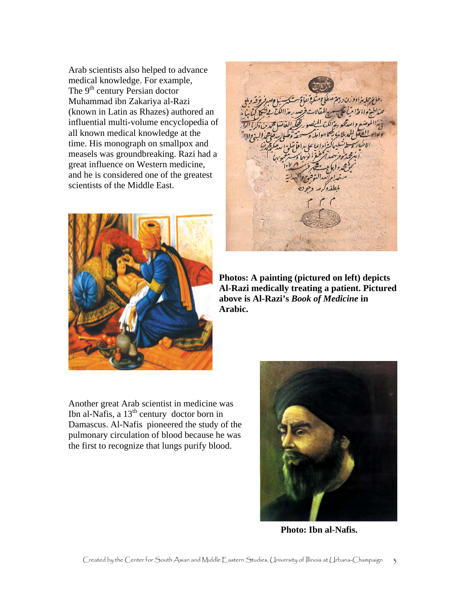Arab scientists also helped to advance medical knowledge. For example, The  $9<sup>th</sup>$  century Persian doctor Muhammad ibn Zakariya al-Razi (known in Latin as Rhazes) authored an influential multi-volume encyclopedia of all known medical knowledge at the time. His monograph on smallpox and measels was groundbreaking. Razi had a great influence on Western medicine, and he is considered one of the greatest scientists of the Middle East.



**Photos: A painting (pictured on left) depicts Al-Razi medically treating a patient. Pictured above is Al-Razi's** *Book of Medicine* **in Arabic.** 

Another great Arab scientist in medicine was Ibn al-Nafis, a  $13<sup>th</sup>$  century doctor born in Damascus. Al-Nafis pioneered the study of the pulmonary circulation of blood because he was the first to recognize that lungs purify blood.



 **Photo: Ibn al-Nafis.**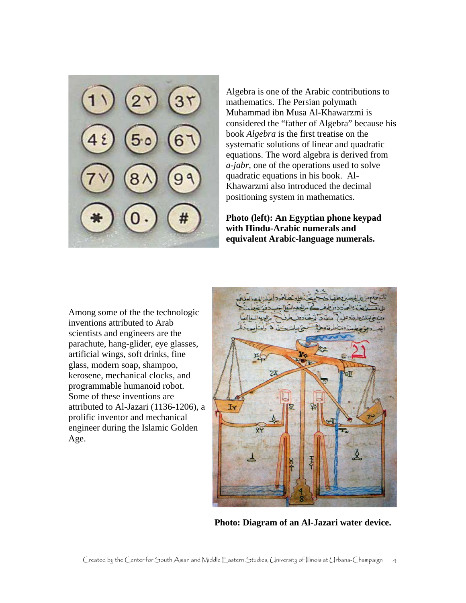Algebra is one of the Arabic contributions to mathematics. The Persian polymath Muhammad ibn Musa Al-Khawarzmi is considered the "father of Algebra" because his book *Algebra* is the first treatise on the systematic solutions of linear and quadratic equations. The word algebra is derived from *a-jabr,* one of the operations used to solv e quadratic equations in his book. Al-Khawarzmi also introduced the decimal positioning system in mathematics.

**Photo (left): An Egyptian phone keypad with Hindu-Arabic numerals and equivalent Arabic-language numerals.** 

Among some of the the technologic inventions attributed to Arab scientists and engineers are the parachute, hang-glider, eye glasses, artificial wings, soft drinks, fine glass, modern soap, shampoo, kerosene, mechanical clocks, and programmable humanoid robot. Some of these inventions are attributed to Al-Jazari (1136-1206), a prolific inventor and mechanical engineer during the Islamic Golden Age.



**Photo: Diagram of an Al-Jazari water device.**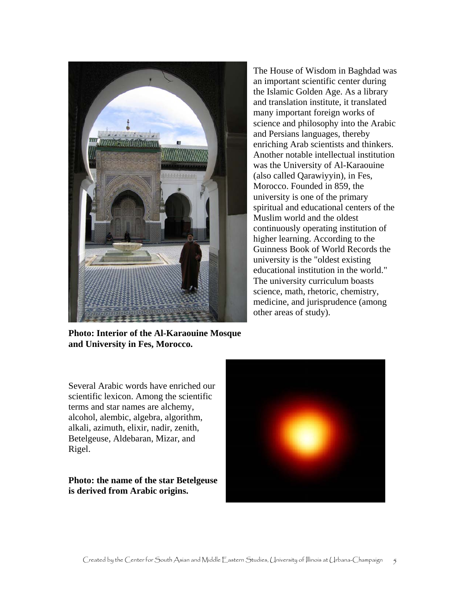

The House of Wisdom in Baghdad was an important scientific center during the Islamic Golden Age. As a library and translation institute, it translated many important foreign works of science and philosophy into the Arabic and Persians languages, thereby enriching Arab scientists and thinkers. Another notable intellectual institution was the University of Al-Karaouine (also called Qarawiyyin), in Fes, Morocco. Founded in 859, the university is one of the primary spiritual and educational centers of the Muslim world and the oldest continuously operating institution of higher learning. According to the Guinness Book of World Records the university is the "oldest existing educational institution in the world." The university curriculum boasts science, math, rhetoric, chemistry, medicine, and jurisprudence (among other areas of study).

**Photo: Interior of the Al-Karaouine Mosque and University in Fes, Morocco.** 

Several Arabic words have enriched our scientific lexicon. Among the scientific terms and star names are alchemy, alcohol, alembic, algebra, algorithm, alkali, azimuth, elixir, nadir, zenith, Betelgeuse, Aldebaran, Mizar, and Rigel.

**Photo: the name of the star Betelgeuse is derived from Arabic origins.**